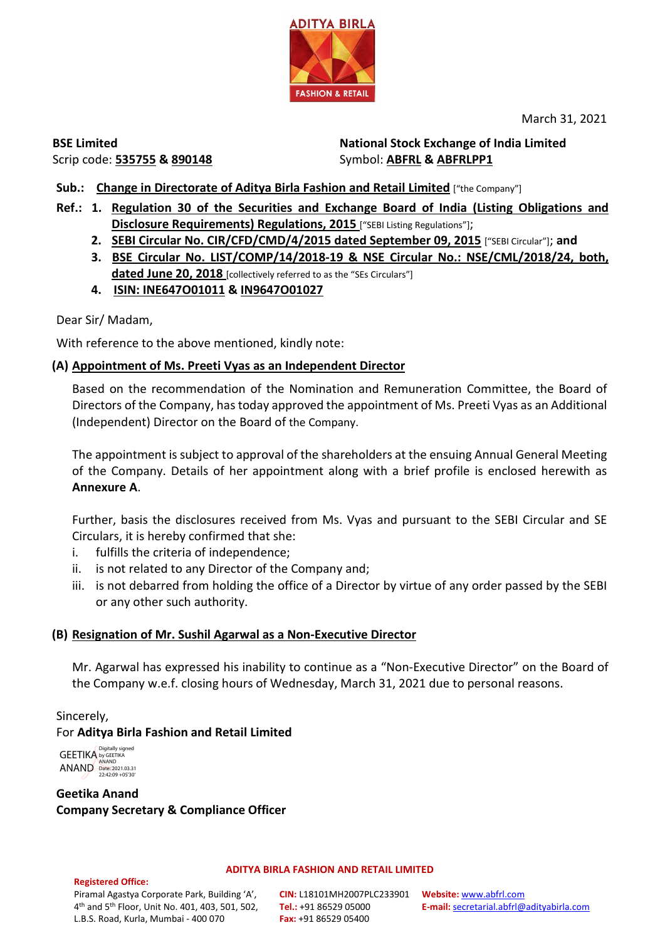

March 31, 2021

**BSE Limited** Scrip code: **535755 & 890148** **National Stock Exchange of India Limited**  Symbol: **ABFRL & ABFRLPP1**

- **Sub.: Change in Directorate of Aditya Birla Fashion and Retail Limited** ["the Company"]
- **Ref.: 1. Regulation 30 of the Securities and Exchange Board of India (Listing Obligations and Disclosure Requirements) Regulations, 2015** ["SEBI Listing Regulations"];
	- **2. SEBI Circular No. CIR/CFD/CMD/4/2015 dated September 09, 2015** ["SEBI Circular"]; **and**
	- **3. BSE Circular No. LIST/COMP/14/2018-19 & NSE Circular No.: NSE/CML/2018/24, both, dated June 20, 2018** [collectively referred to as the "SEs Circulars"]
	- **4. ISIN: INE647O01011 & IN9647O01027**

Dear Sir/ Madam,

With reference to the above mentioned, kindly note:

# **(A) Appointment of Ms. Preeti Vyas as an Independent Director**

Based on the recommendation of the Nomination and Remuneration Committee, the Board of Directors of the Company, has today approved the appointment of Ms. Preeti Vyas as an Additional (Independent) Director on the Board of the Company.

The appointment is subject to approval of the shareholders at the ensuing Annual General Meeting of the Company. Details of her appointment along with a brief profile is enclosed herewith as **Annexure A**.

Further, basis the disclosures received from Ms. Vyas and pursuant to the SEBI Circular and SE Circulars, it is hereby confirmed that she:

- i. fulfills the criteria of independence;
- ii. is not related to any Director of the Company and;
- iii. is not debarred from holding the office of a Director by virtue of any order passed by the SEBI or any other such authority.

## **(B) Resignation of Mr. Sushil Agarwal as a Non-Executive Director**

Mr. Agarwal has expressed his inability to continue as a "Non-Executive Director" on the Board of the Company w.e.f. closing hours of Wednesday, March 31, 2021 due to personal reasons.

# Sincerely, For **Aditya Birla Fashion and Retail Limited**

GEETIKA ANAND Digitally signed by GEETIKA ANAND Date: 2021.03.31 22:42:09 +05'30'

**Geetika Anand Company Secretary & Compliance Officer**

#### **Registered Office:**

### **ADITYA BIRLA FASHION AND RETAIL LIMITED**

Piramal Agastya Corporate Park, Building 'A', 4th and 5th Floor, Unit No. 401, 403, 501, 502, L.B.S. Road, Kurla, Mumbai - 400 070

**CIN:** L18101MH2007PLC233901 **Website:** [www.abfrl.com](http://www.abfrl.com/) **Tel.:** +91 86529 05000 **Fax:** +91 86529 05400